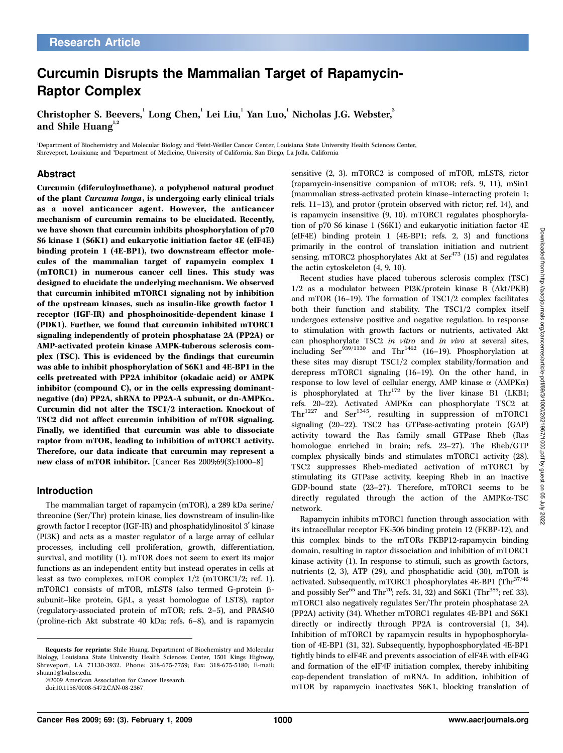# Curcumin Disrupts the Mammalian Target of Rapamycin-Raptor Complex

Christopher S. Beevers, Long Chen, Lei Liu, Yan Luo, Nicholas J.G. Webster, 3 and Shile Huang $1,2$ 

'Department of Biochemistry and Molecular Biology and 'Feist-Weiller Cancer Center, Louisiana State University Health Sciences Center, Shreveport, Louisiana; and <sup>3</sup>Department of Medicine, University of California, San Diego, La Jolla, California

#### Abstract

Curcumin (diferuloylmethane), a polyphenol natural product of the plant Curcuma longa, is undergoing early clinical trials as a novel anticancer agent. However, the anticancer mechanism of curcumin remains to be elucidated. Recently, we have shown that curcumin inhibits phosphorylation of p70 S6kinase 1 (S6K1) and eukaryotic initiation factor 4E (eIF4E) binding protein 1 (4E-BP1), two downstream effector molecules of the mammalian target of rapamycin complex 1 (mTORC1) in numerous cancer cell lines. This study was designed to elucidate the underlying mechanism. We observed that curcumin inhibited mTORC1 signaling not by inhibition of the upstream kinases, such as insulin-like growth factor 1 receptor (IGF-IR) and phosphoinositide-dependent kinase 1 (PDK1). Further, we found that curcumin inhibited mTORC1 signaling independently of protein phosphatase 2A (PP2A) or AMP-activated protein kinase AMPK-tuberous sclerosis complex (TSC). This is evidenced by the findings that curcumin was able to inhibit phosphorylation of S6K1 and 4E-BP1 in the cells pretreated with PP2A inhibitor (okadaic acid) or AMPK inhibitor (compound C), or in the cells expressing dominantnegative (dn) PP2A, shRNA to PP2A-A subunit, or dn-AMPKA. Curcumin did not alter the TSC1/2 interaction. Knockout of TSC2 did not affect curcumin inhibition of mTOR signaling. Finally, we identified that curcumin was able to dissociate raptor from mTOR, leading to inhibition of mTORC1 activity. Therefore, our data indicate that curcumin may represent a new class of mTOR inhibitor. [Cancer Res 2009;69(3):1000–8]

#### Introduction

The mammalian target of rapamycin (mTOR), a 289 kDa serine/ threonine (Ser/Thr) protein kinase, lies downstream of insulin-like growth factor I receptor (IGF-IR) and phosphatidylinositol 3¶ kinase (PI3K) and acts as a master regulator of a large array of cellular processes, including cell proliferation, growth, differentiation, survival, and motility (1). mTOR does not seem to exert its major functions as an independent entity but instead operates in cells at least as two complexes, mTOR complex 1/2 (mTORC1/2; ref. 1). mTORC1 consists of mTOR, mLST8 (also termed G-protein  $\beta$ subunit–like protein, GhL, a yeast homologue of LST8), raptor (regulatory-associated protein of mTOR; refs. 2–5), and PRAS40 (proline-rich Akt substrate 40 kDa; refs. 6–8), and is rapamycin sensitive (2, 3). mTORC2 is composed of mTOR, mLST8, rictor (rapamycin-insensitive companion of mTOR; refs. 9, 11), mSin1 (mammalian stress-activated protein kinase–interacting protein 1; refs. 11–13), and protor (protein observed with rictor; ref. 14), and is rapamycin insensitive (9, 10). mTORC1 regulates phosphorylation of p70 S6 kinase 1 (S6K1) and eukaryotic initiation factor 4E (eIF4E) binding protein 1 (4E-BP1; refs. 2, 3) and functions primarily in the control of translation initiation and nutrient sensing. mTORC2 phosphorylates Akt at  $\text{Ser}^{473}$  (15) and regulates the actin cytoskeleton (4, 9, 10).

Recent studies have placed tuberous sclerosis complex (TSC) 1/2 as a modulator between PI3K/protein kinase B (Akt/PKB) and mTOR (16–19). The formation of TSC1/2 complex facilitates both their function and stability. The TSC1/2 complex itself undergoes extensive positive and negative regulation. In response to stimulation with growth factors or nutrients, activated Akt can phosphorylate TSC2 in vitro and in vivo at several sites, including Ser<sup>939/1130</sup> and Thr<sup>1462</sup> (16-19). Phosphorylation at these sites may disrupt TSC1/2 complex stability/formation and derepress mTORC1 signaling (16–19). On the other hand, in response to low level of cellular energy, AMP kinase  $\alpha$  (AMPK $\alpha$ ) is phosphorylated at  $Thr^{172}$  by the liver kinase B1 (LKB1; refs. 20–22). Activated AMPKa can phosphorylate TSC2 at Thr<sup>1227</sup> and Ser<sup>1345</sup>, resulting in suppression of mTORC1 signaling (20–22). TSC2 has GTPase-activating protein (GAP) activity toward the Ras family small GTPase Rheb (Ras homologue enriched in brain; refs. 23–27). The Rheb/GTP complex physically binds and stimulates mTORC1 activity (28). TSC2 suppresses Rheb-mediated activation of mTORC1 by stimulating its GTPase activity, keeping Rheb in an inactive GDP-bound state (23–27). Therefore, mTORC1 seems to be directly regulated through the action of the AMPKa-TSC network.

Rapamycin inhibits mTORC1 function through association with its intracellular receptor FK-506 binding protein 12 (FKBP-12), and this complex binds to the mTORs FKBP12-rapamycin binding domain, resulting in raptor dissociation and inhibition of mTORC1 kinase activity (1). In response to stimuli, such as growth factors, nutrients (2, 3), ATP (29), and phosphatidic acid (30), mTOR is activated. Subsequently, mTORC1 phosphorylates 4E-BP1 (Thr $^{37/46}$ and possibly Ser<sup>65</sup> and Thr<sup>70</sup>; refs. 31, 32) and S6K1 (Thr<sup>389</sup>; ref. 33). mTORC1 also negatively regulates Ser/Thr protein phosphatase 2A (PP2A) activity (34). Whether mTORC1 regulates 4E-BP1 and S6K1 directly or indirectly through PP2A is controversial (1, 34). Inhibition of mTORC1 by rapamycin results in hypophosphorylation of 4E-BP1 (31, 32). Subsequently, hypophosphorylated 4E-BP1 tightly binds to eIF4E and prevents association of eIF4E with eIF4G and formation of the eIF4F initiation complex, thereby inhibiting cap-dependent translation of mRNA. In addition, inhibition of mTOR by rapamycin inactivates S6K1, blocking translation of

Requests for reprints: Shile Huang, Department of Biochemistry and Molecular Biology, Louisiana State University Health Sciences Center, 1501 Kings Highway, Shreveport, LA 71130-3932. Phone: 318-675-7759; Fax: 318-675-5180; E-mail: shuan1@lsuhsc.edu.

<sup>©2009</sup> American Association for Cancer Research.

doi:10.1158/0008-5472.CAN-08-2367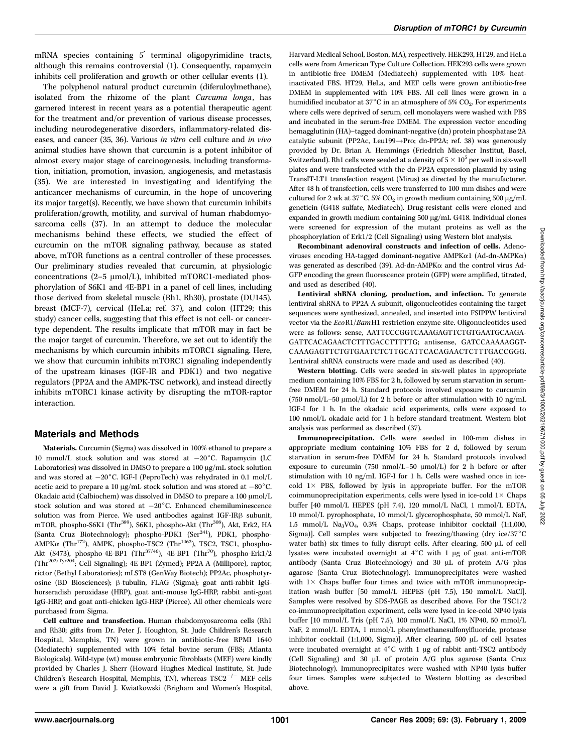mRNA species containing  $5'$  terminal oligopyrimidine tracts, although this remains controversial (1). Consequently, rapamycin inhibits cell proliferation and growth or other cellular events (1).

The polyphenol natural product curcumin (diferuloylmethane), isolated from the rhizome of the plant Curcuma longa, has garnered interest in recent years as a potential therapeutic agent for the treatment and/or prevention of various disease processes, including neurodegenerative disorders, inflammatory-related diseases, and cancer (35, 36). Various in vitro cell culture and in vivo animal studies have shown that curcumin is a potent inhibitor of almost every major stage of carcinogenesis, including transformation, initiation, promotion, invasion, angiogenesis, and metastasis (35). We are interested in investigating and identifying the anticancer mechanisms of curcumin, in the hope of uncovering its major target(s). Recently, we have shown that curcumin inhibits proliferation/growth, motility, and survival of human rhabdomyosarcoma cells (37). In an attempt to deduce the molecular mechanisms behind these effects, we studied the effect of curcumin on the mTOR signaling pathway, because as stated above, mTOR functions as a central controller of these processes. Our preliminary studies revealed that curcumin, at physiologic concentrations (2–5  $\mu$ mol/L), inhibited mTORC1-mediated phosphorylation of S6K1 and 4E-BP1 in a panel of cell lines, including those derived from skeletal muscle (Rh1, Rh30), prostate (DU145), breast (MCF-7), cervical (HeLa; ref. 37), and colon (HT29; this study) cancer cells, suggesting that this effect is not cell- or cancertype dependent. The results implicate that mTOR may in fact be the major target of curcumin. Therefore, we set out to identify the mechanisms by which curcumin inhibits mTORC1 signaling. Here, we show that curcumin inhibits mTORC1 signaling independently of the upstream kinases (IGF-IR and PDK1) and two negative regulators (PP2A and the AMPK-TSC network), and instead directly inhibits mTORC1 kinase activity by disrupting the mTOR-raptor interaction.

## Materials and Methods

Materials. Curcumin (Sigma) was dissolved in 100% ethanol to prepare a 10 mmol/L stock solution and was stored at  $-20^{\circ}$ C. Rapamycin (LC Laboratories) was dissolved in DMSO to prepare a 100 µg/mL stock solution and was stored at  $-20^{\circ}$ C. IGF-I (PeproTech) was rehydrated in 0.1 mol/L acetic acid to prepare a 10  $\mu$ g/mL stock solution and was stored at -80°C. Okadaic acid (Calbiochem) was dissolved in DMSO to prepare a  $100 \mu m$ ol/L stock solution and was stored at  $-20^{\circ}$ C. Enhanced chemiluminescence solution was from Pierce. We used antibodies against IGF-IRB subunit, mTOR, phospho-S6K1 (Thr<sup>389</sup>), S6K1, phospho-Akt (Thr<sup>308</sup>), Akt, Erk2, HA (Santa Cruz Biotechnology); phospho-PDK1 (Ser<sup>241</sup>), PDK1, phospho- $AMPK\alpha$  (Thr<sup>172</sup>), AMPK, phospho-TSC2 (Thr<sup>1462</sup>), TSC2, TSC1, phospho-Akt (S473), phospho-4E-BP1 (Thr<sup>37/46</sup>), 4E-BP1 (Thr<sup>70</sup>), phospho-Erk1/2 (Thr202/Tyr204; Cell Signaling); 4E-BP1 (Zymed); PP2A-A (Millipore), raptor, rictor (Bethyl Laboratories); mLST8 (GenWay Biotech); PP2Ac, phosphotyrosine (BD Biosciences); β-tubulin, FLAG (Sigma); goat anti-rabbit IgGhorseradish peroxidase (HRP), goat anti-mouse IgG-HRP, rabbit anti-goat IgG-HRP, and goat anti-chicken IgG-HRP (Pierce). All other chemicals were purchased from Sigma.

Cell culture and transfection. Human rhabdomyosarcoma cells (Rh1 and Rh30; gifts from Dr. Peter J. Houghton, St. Jude Children's Research Hospital, Memphis, TN) were grown in antibiotic-free RPMI 1640 (Mediatech) supplemented with 10% fetal bovine serum (FBS; Atlanta Biologicals). Wild-type (wt) mouse embryonic fibroblasts (MEF) were kindly provided by Charles J. Sherr (Howard Hughes Medical Institute, St. Jude Children's Research Hospital, Memphis, TN), whereas  $TSC2^{-/-}$  MEF cells were a gift from David J. Kwiatkowski (Brigham and Women's Hospital, Harvard Medical School, Boston, MA), respectively. HEK293, HT29, and HeLa cells were from American Type Culture Collection. HEK293 cells were grown in antibiotic-free DMEM (Mediatech) supplemented with 10% heatinactivated FBS. HT29, HeLa, and MEF cells were grown antibiotic-free DMEM in supplemented with 10% FBS. All cell lines were grown in a humidified incubator at  $37^{\circ}$ C in an atmosphere of 5% CO<sub>2</sub>. For experiments where cells were deprived of serum, cell monolayers were washed with PBS and incubated in the serum-free DMEM. The expression vector encoding hemagglutinin (HA)–tagged dominant-negative (dn) protein phosphatase 2A catalytic subunit (PP2Ac, Leu199 $\rightarrow$ Pro; dn-PP2A; ref. 38) was generously provided by Dr. Brian A. Hemmings (Friedrich Miescher Institut, Basel, Switzerland). Rh1 cells were seeded at a density of  $5 \times 10^5$  per well in six-well plates and were transfected with the dn-PP2A expression plasmid by using TransIT-LT1 transfection reagent (Mirus) as directed by the manufacturer. After 48 h of transfection, cells were transferred to 100-mm dishes and were cultured for 2 wk at 37°C, 5% CO<sub>2</sub> in growth medium containing 500  $\mu$ g/mL geneticin (G418 sulfate, Mediatech). Drug-resistant cells were cloned and expanded in growth medium containing  $500 \mu g/mL$  G418. Individual clones were screened for expression of the mutant proteins as well as the phosphorylation of Erk1/2 (Cell Signaling) using Western blot analysis.

Recombinant adenoviral constructs and infection of cells. Adenoviruses encoding HA-tagged dominant-negative AMPKa1 (Ad-dn-AMPKa) was generated as described (39). Ad-dn-AMPKa and the control virus Ad-GFP encoding the green fluorescence protein (GFP) were amplified, titrated, and used as described (40).

Lentiviral shRNA cloning, production, and infection. To generate lentiviral shRNA to PP2A-A subunit, oligonucleotides containing the target sequences were synthesized, annealed, and inserted into FSIPPW lentiviral vector via the EcoR1/BamH1 restriction enzyme site. Oligonucleotides used were as follows: sense, AATTCCCGGTCAAAGAGTTCTGTGAATGCAAGA-GATTCACAGAACTCTTTGACCTTTTTG; antisense, GATCCAAAAAGGT-CAAAGAGTTCTGTGAATCTCTTGCATTCACAGAACTCTTTGACCGGG. Lentiviral shRNA constructs were made and used as described (40).

Western blotting. Cells were seeded in six-well plates in appropriate medium containing 10% FBS for 2 h, followed by serum starvation in serumfree DMEM for 24 h. Standard protocols involved exposure to curcumin (750 nmol/L–50  $\mu$ mol/L) for 2 h before or after stimulation with 10 ng/mL IGF-I for 1 h. In the okadaic acid experiments, cells were exposed to 100 nmol/L okadaic acid for 1 h before standard treatment. Western blot analysis was performed as described (37).

Immunoprecipitation. Cells were seeded in 100-mm dishes in appropriate medium containing 10% FBS for 2 d, followed by serum starvation in serum-free DMEM for 24 h. Standard protocols involved exposure to curcumin (750 nmol/L-50  $\mu$ mol/L) for 2 h before or after stimulation with 10 ng/mL IGF-I for 1 h. Cells were washed once in icecold  $1 \times$  PBS, followed by lysis in appropriate buffer. For the mTOR coimmunoprecipitation experiments, cells were lysed in ice-cold  $1\times$  Chaps buffer [40 mmol/L HEPES (pH 7.4), 120 mmol/L NaCl, 1 mmol/L EDTA, 10 mmol/L pyrophosphate, 10 mmol/L glycerophosphate, 50 mmol/L NaF, 1.5 mmol/L Na3VO4, 0.3% Chaps, protease inhibitor cocktail (1:1,000, Sigma)]. Cell samples were subjected to freezing/thawing (dry ice/37 $^{\circ}$ C water bath) six times to fully disrupt cells. After clearing, 500  $\mu$ L of cell lysates were incubated overnight at  $4^{\circ}$ C with 1 µg of goat anti-mTOR antibody (Santa Cruz Biotechnology) and 30 µL of protein A/G plus agarose (Santa Cruz Biotechnology). Immunoprecipitates were washed with  $1 \times$  Chaps buffer four times and twice with mTOR immunoprecipitation wash buffer [50 mmol/L HEPES (pH 7.5), 150 mmol/L NaCl]. Samples were resolved by SDS-PAGE as described above. For the TSC1/2 co-immunoprecipitation experiment, cells were lysed in ice-cold NP40 lysis buffer [10 mmol/L Tris (pH 7.5), 100 mmol/L NaCl, 1% NP40, 50 mmol/L NaF, 2 mmol/L EDTA, 1 mmol/L phenylmethanesulfonylfluoride, protease inhibitor cocktail (1:1,000, Sigma)]. After clearing, 500 µL of cell lysates were incubated overnight at  $4^{\circ}$ C with 1 µg of rabbit anti-TSC2 antibody (Cell Signaling) and 30 µL of protein A/G plus agarose (Santa Cruz Biotechnology). Immunoprecipitates were washed with NP40 lysis buffer four times. Samples were subjected to Western blotting as described above.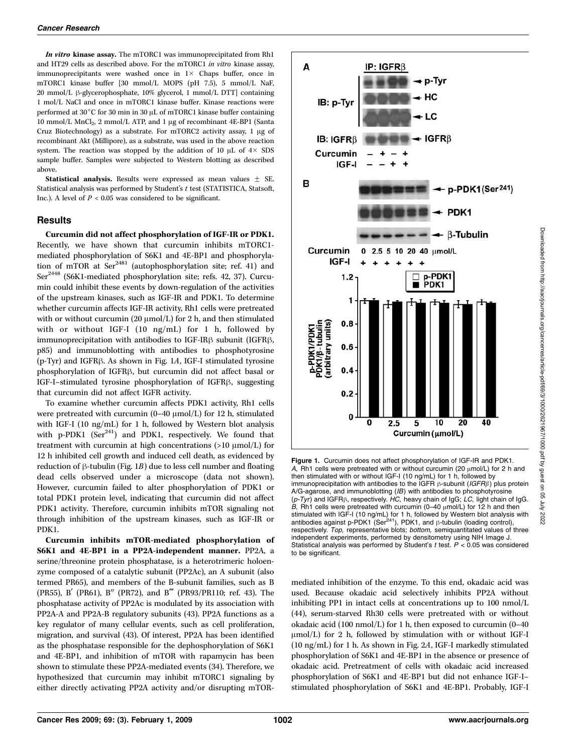In vitro kinase assay. The mTORC1 was immunoprecipitated from Rh1 and HT29 cells as described above. For the mTORC1 in vitro kinase assay, immunoprecipitants were washed once in  $1 \times$  Chaps buffer, once in mTORC1 kinase buffer [30 mmol/L MOPS (pH 7.5), 5 mmol/L NaF, 20 mmol/L  $\beta$ -glycerophosphate, 10% glycerol, 1 mmol/L DTT] containing 1 mol/L NaCl and once in mTORC1 kinase buffer. Kinase reactions were performed at  $30^{\circ}$ C for 30 min in 30  $\mu$ L of mTORC1 kinase buffer containing 10 mmol/L MnCl<sub>2</sub>, 2 mmol/L ATP, and 1 µg of recombinant 4E-BP1 (Santa Cruz Biotechnology) as a substrate. For mTORC2 activity assay, 1 µg of recombinant Akt (Millipore), as a substrate, was used in the above reaction system. The reaction was stopped by the addition of 10  $\mu$ L of  $4 \times$  SDS sample buffer. Samples were subjected to Western blotting as described above.

Statistical analysis. Results were expressed as mean values  $\pm$  SE. Statistical analysis was performed by Student's t test (STATISTICA, Statsoft, Inc.). A level of  $P < 0.05$  was considered to be significant.

#### Results

Curcumin did not affect phosphorylation of IGF-IR or PDK1. Recently, we have shown that curcumin inhibits mTORC1 mediated phosphorylation of S6K1 and 4E-BP1 and phosphorylation of mTOR at  $\text{Ser}^{2481}$  (autophosphorylation site; ref. 41) and Ser<sup>2448</sup> (S6K1-mediated phosphorylation site; refs. 42, 37). Curcumin could inhibit these events by down-regulation of the activities of the upstream kinases, such as IGF-IR and PDK1. To determine whether curcumin affects IGF-IR activity, Rh1 cells were pretreated with or without curcumin (20  $\mu$ mol/L) for 2 h, and then stimulated with or without IGF-I (10 ng/mL) for 1 h, followed by immunoprecipitation with antibodies to IGF-IR $\beta$  subunit (IGFR $\beta$ , p85) and immunoblotting with antibodies to phosphotyrosine  $(p-Tyr)$  and IGFR $\beta$ . As shown in Fig. 1A, IGF-I stimulated tyrosine phosphorylation of IGFR<sub>B</sub>, but curcumin did not affect basal or IGF-I-stimulated tyrosine phosphorylation of IGFR<sub>B</sub>, suggesting that curcumin did not affect IGFR activity.

To examine whether curcumin affects PDK1 activity, Rh1 cells were pretreated with curcumin  $(0-40 \mu \text{mol/L})$  for 12 h, stimulated with IGF-I (10 ng/mL) for 1 h, followed by Western blot analysis with p-PDK1  $(Ser<sup>241</sup>)$  and PDK1, respectively. We found that treatment with curcumin at high concentrations  $(>10 \mu \text{mol/L})$  for 12 h inhibited cell growth and induced cell death, as evidenced by reduction of  $\beta$ -tubulin (Fig. 1B) due to less cell number and floating dead cells observed under a microscope (data not shown). However, curcumin failed to alter phosphorylation of PDK1 or total PDK1 protein level, indicating that curcumin did not affect PDK1 activity. Therefore, curcumin inhibits mTOR signaling not through inhibition of the upstream kinases, such as IGF-IR or PDK1.

Curcumin inhibits mTOR-mediated phosphorylation of S6K1 and 4E-BP1 in a PP2A-independent manner. PP2A, a serine/threonine protein phosphatase, is a heterotrimeric holoenzyme composed of a catalytic subunit (PP2Ac), an A subunit (also termed PR65), and members of the B-subunit families, such as B (PR55), B' (PR61), B" (PR72), and B''' (PR93/PR110; ref. 43). The phosphatase activity of PP2Ac is modulated by its association with PP2A-A and PP2A-B regulatory subunits (43). PP2A functions as a key regulator of many cellular events, such as cell proliferation, migration, and survival (43). Of interest, PP2A has been identified as the phosphatase responsible for the dephosphorylation of S6K1 and 4E-BP1, and inhibition of mTOR with rapamycin has been shown to stimulate these PP2A-mediated events (34). Therefore, we hypothesized that curcumin may inhibit mTORC1 signaling by either directly activating PP2A activity and/or disrupting mTOR-



Figure 1. Curcumin does not affect phosphorylation of IGF-IR and PDK1. A, Rh1 cells were pretreated with or without curcumin (20  $\mu$ mol/L) for 2 h and then stimulated with or without IGF-I (10ng/mL) for 1 h, followed by immunoprecipitation with antibodies to the IGFR  $\beta$ -subunit (IGFR $\beta$ ) plus protein A/G-agarose, and immunoblotting (IB) with antibodies to phosphotyrosine  $(p-Tyr)$  and IGFR $\beta$ , respectively. HC, heavy chain of IgG; LC, light chain of IgG. B, Rh1 cells were pretreated with curcumin (0-40  $\mu$ mol/L) for 12 h and then stimulated with IGF-I (10 ng/mL) for 1 h, followed by Western blot analysis with<br>antibodies against p-PDK1 (Ser<sup>241</sup>), PDK1, and β-tubulin (loading control), respectively. Top, representative blots; bottom, semiquantitated values of three independent experiments, performed by densitometry using NIH Image J. Statistical analysis was performed by Student's t test.  $P < 0.05$  was considered to be significant.

mediated inhibition of the enzyme. To this end, okadaic acid was used. Because okadaic acid selectively inhibits PP2A without inhibiting PP1 in intact cells at concentrations up to 100 nmol/L (44), serum-starved Rh30 cells were pretreated with or without okadaic acid (100 nmol/L) for 1 h, then exposed to curcumin (0–40  $\mu$ mol/L) for 2 h, followed by stimulation with or without IGF-I (10 ng/mL) for 1 h. As shown in Fig. 2A, IGF-I markedly stimulated phosphorylation of S6K1 and 4E-BP1 in the absence or presence of okadaic acid. Pretreatment of cells with okadaic acid increased phosphorylation of S6K1 and 4E-BP1 but did not enhance IGF-I– stimulated phosphorylation of S6K1 and 4E-BP1. Probably, IGF-I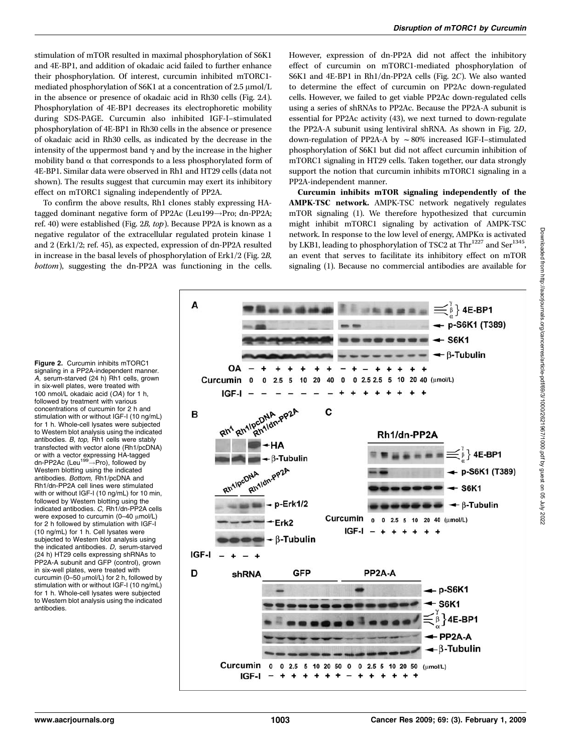stimulation of mTOR resulted in maximal phosphorylation of S6K1 and 4E-BP1, and addition of okadaic acid failed to further enhance their phosphorylation. Of interest, curcumin inhibited mTORC1 mediated phosphorylation of S6K1 at a concentration of 2.5  $\mu$ mol/L in the absence or presence of okadaic acid in Rh30 cells (Fig. 2A). Phosphorylation of 4E-BP1 decreases its electrophoretic mobility during SDS-PAGE. Curcumin also inhibited IGF-I–stimulated phosphorylation of 4E-BP1 in Rh30 cells in the absence or presence of okadaic acid in Rh30 cells, as indicated by the decrease in the intensity of the uppermost band  $\gamma$  and by the increase in the higher mobility band  $\alpha$  that corresponds to a less phosphorylated form of 4E-BP1. Similar data were observed in Rh1 and HT29 cells (data not shown). The results suggest that curcumin may exert its inhibitory effect on mTORC1 signaling independently of PP2A.

To confirm the above results, Rh1 clones stably expressing HAtagged dominant negative form of PP2Ac (Leu199 $\rightarrow$ Pro; dn-PP2A; ref. 40) were established (Fig. 2B, top). Because PP2A is known as a negative regulator of the extracellular regulated protein kinase 1 and 2 (Erk1/2; ref. 45), as expected, expression of dn-PP2A resulted in increase in the basal levels of phosphorylation of Erk1/2 (Fig. 2B, bottom), suggesting the dn-PP2A was functioning in the cells. However, expression of dn-PP2A did not affect the inhibitory effect of curcumin on mTORC1-mediated phosphorylation of S6K1 and 4E-BP1 in Rh1/dn-PP2A cells (Fig. 2C). We also wanted to determine the effect of curcumin on PP2Ac down-regulated cells. However, we failed to get viable PP2Ac down-regulated cells using a series of shRNAs to PP2Ac. Because the PP2A-A subunit is essential for PP2Ac activity (43), we next turned to down-regulate the PP2A-A subunit using lentiviral shRNA. As shown in Fig. 2D, down-regulation of PP2A-A by  $\sim 80\%$  increased IGF-I–stimulated phosphorylation of S6K1 but did not affect curcumin inhibition of mTORC1 signaling in HT29 cells. Taken together, our data strongly support the notion that curcumin inhibits mTORC1 signaling in a PP2A-independent manner.

Curcumin inhibits mTOR signaling independently of the AMPK-TSC network. AMPK-TSC network negatively regulates mTOR signaling (1). We therefore hypothesized that curcumin might inhibit mTORC1 signaling by activation of AMPK-TSC network. In response to the low level of energy, AMPKa is activated by LKB1, leading to phosphorylation of TSC2 at Thr<sup>1227</sup> and Ser<sup>1345</sup>, an event that serves to facilitate its inhibitory effect on mTOR signaling (1). Because no commercial antibodies are available for

Figure 2. Curcumin inhibits mTORC1 signaling in a PP2A-independent manner. A, serum-starved (24 h) Rh1 cells, grown in six-well plates, were treated with 100 nmol/L okadaic acid (OA) for 1 h, followed by treatment with various concentrations of curcumin for 2 h and stimulation with or without IGF-I (10ng/mL) for 1 h. Whole-cell lysates were subjected to Western blot analysis using the indicated antibodies. B, top, Rh1 cells were stably transfected with vector alone (Rh1/pcDNA) or with a vector expressing HA-tagged dn-PP2Ac (Leu<sup>199</sup> $\rightarrow$ Pro), followed by Western blotting using the indicated antibodies. Bottom, Rh1/pcDNA and Rh1/dn-PP2A cell lines were stimulated with or without IGF-I (10 ng/mL) for 10 min, followed by Western blotting using the indicated antibodies. C, Rh1/dn-PP2A cells were exposed to curcumin  $(0-40 \mu mol/L)$ for 2 h followed by stimulation with IGF-I (10ng/mL) for 1 h. Cell lysates were subjected to Western blot analysis using the indicated antibodies. D, serum-starved (24 h) HT29 cells expressing shRNAs to PP2A-A subunit and GFP (control), grown in six-well plates, were treated with curcumin ( $0-50 \mu$ mol/L) for 2 h, followed by stimulation with or without IGF-I (10 ng/mL) for 1 h. Whole-cell lysates were subjected to Western blot analysis using the indicated antibodies.

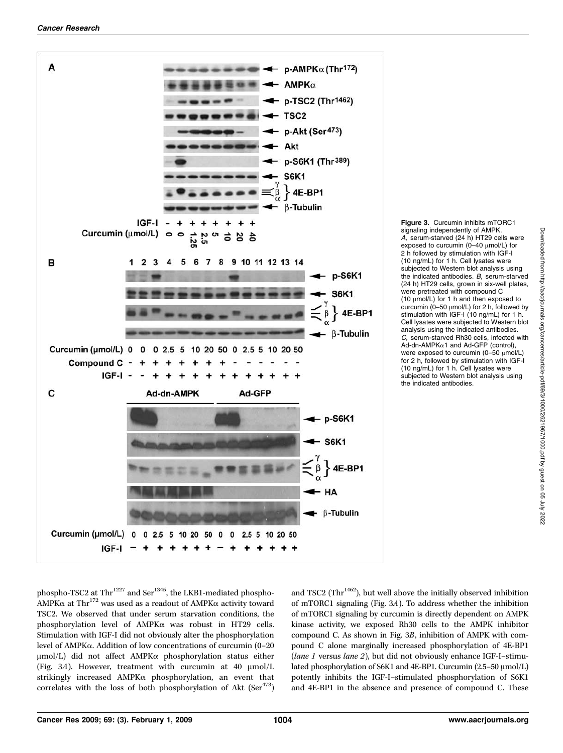

Figure 3. Curcumin inhibits mTORC1 signaling independently of AMPK. A, serum-starved (24 h) HT29 cells were exposed to curcumin ( $0-40$   $\mu$ mol/L) for 2 h followed by stimulation with IGF-I (10ng/mL) for 1 h. Cell lysates were subjected to Western blot analysis using the indicated antibodies. B, serum-starved (24 h) HT29 cells, grown in six-well plates, were pretreated with compound C (10  $\mu$ mol/L) for 1 h and then exposed to curcumin ( $0-50 \mu$ mol/L) for 2 h, followed by stimulation with IGF-I (10 ng/mL) for 1 h. Cell lysates were subjected to Western blot analysis using the indicated antibodies. C, serum-starved Rh30 cells, infected with Ad-dn-AMPKa1 and Ad-GFP (control), were exposed to curcumin (0-50  $\mu$ mol/L) for 2 h, followed by stimulation with IGF-I (10ng/mL) for 1 h. Cell lysates were subjected to Western blot analysis using the indicated antibodies.

phospho-TSC2 at Thr<sup>1227</sup> and Ser<sup>1345</sup>, the LKB1-mediated phospho-AMPK $\alpha$  at Thr<sup>172</sup> was used as a readout of AMPK $\alpha$  activity toward TSC2. We observed that under serum starvation conditions, the phosphorylation level of AMPKa was robust in HT29 cells. Stimulation with IGF-I did not obviously alter the phosphorylation level of AMPKa. Addition of low concentrations of curcumin (0–20  $\mu$ mol/L) did not affect AMPK $\alpha$  phosphorylation status either (Fig. 3A). However, treatment with curcumin at 40  $\mu$ mol/L strikingly increased AMPKa phosphorylation, an event that correlates with the loss of both phosphorylation of Akt  $(Ser<sup>473</sup>)$  and TSC2 (Th $r^{1462}$ ), but well above the initially observed inhibition of mTORC1 signaling (Fig. 3A). To address whether the inhibition of mTORC1 signaling by curcumin is directly dependent on AMPK kinase activity, we exposed Rh30 cells to the AMPK inhibitor compound C. As shown in Fig. 3B, inhibition of AMPK with compound C alone marginally increased phosphorylation of 4E-BP1 (lane 1 versus lane 2), but did not obviously enhance IGF-I–stimulated phosphorylation of S6K1 and 4E-BP1. Curcumin (2.5-50  $\mu$ mol/L) potently inhibits the IGF-I–stimulated phosphorylation of S6K1 and 4E-BP1 in the absence and presence of compound C. These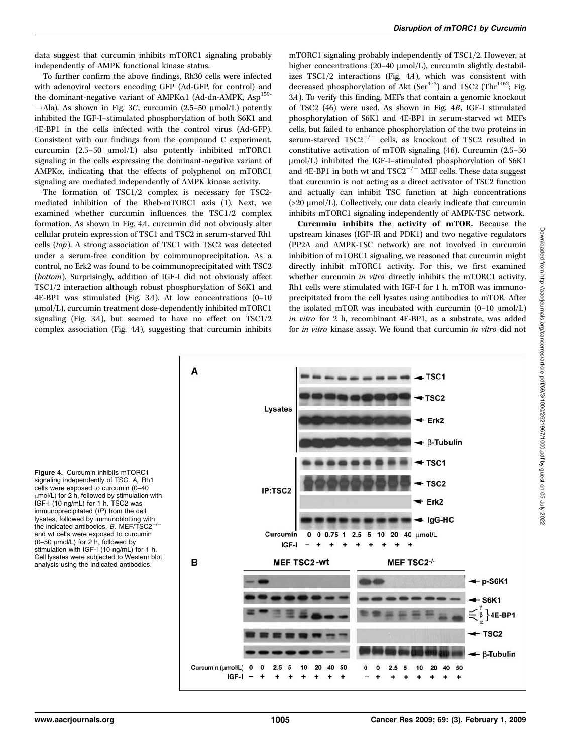data suggest that curcumin inhibits mTORC1 signaling probably independently of AMPK functional kinase status.

To further confirm the above findings, Rh30 cells were infected with adenoviral vectors encoding GFP (Ad-GFP, for control) and the dominant-negative variant of AMPK $\alpha$ 1 (Ad-dn-AMPK, Asp<sup>159-</sup>  $\rightarrow$ Ala). As shown in Fig. 3C, curcumin (2.5–50  $\mu$ mol/L) potently inhibited the IGF-I–stimulated phosphorylation of both S6K1 and 4E-BP1 in the cells infected with the control virus (Ad-GFP). Consistent with our findings from the compound C experiment, curcumin  $(2.5-50 \mu \text{mol/L})$  also potently inhibited mTORC1 signaling in the cells expressing the dominant-negative variant of AMPKa, indicating that the effects of polyphenol on mTORC1 signaling are mediated independently of AMPK kinase activity.

The formation of TSC1/2 complex is necessary for TSC2 mediated inhibition of the Rheb-mTORC1 axis (1). Next, we examined whether curcumin influences the TSC1/2 complex formation. As shown in Fig. 4A, curcumin did not obviously alter cellular protein expression of TSC1 and TSC2 in serum-starved Rh1 cells (top). A strong association of TSC1 with TSC2 was detected under a serum-free condition by coimmunoprecipitation. As a control, no Erk2 was found to be coimmunoprecipitated with TSC2 (bottom). Surprisingly, addition of IGF-I did not obviously affect TSC1/2 interaction although robust phosphorylation of S6K1 and 4E-BP1 was stimulated (Fig. 3A). At low concentrations (0–10  $\mu$ mol/L), curcumin treatment dose-dependently inhibited mTORC1 signaling (Fig. 3A), but seemed to have no effect on TSC1/2 complex association (Fig. 4A), suggesting that curcumin inhibits mTORC1 signaling probably independently of TSC1/2. However, at higher concentrations (20–40  $\mu$ mol/L), curcumin slightly destabilizes TSC1/2 interactions (Fig. 4A), which was consistent with decreased phosphorylation of Akt (Ser<sup>473</sup>) and TSC2 (Thr<sup>1462</sup>; Fig. 3A). To verify this finding, MEFs that contain a genomic knockout of TSC2 (46) were used. As shown in Fig. 4B, IGF-I stimulated phosphorylation of S6K1 and 4E-BP1 in serum-starved wt MEFs cells, but failed to enhance phosphorylation of the two proteins in serum-starved  $TSC2^{-/-}$  cells, as knockout of TSC2 resulted in constitutive activation of mTOR signaling (46). Curcumin (2.5–50  $\mu$ mol/L) inhibited the IGF-I–stimulated phosphorylation of S6K1 and 4E-BP1 in both wt and  $TSC2^{-/-}$  MEF cells. These data suggest that curcumin is not acting as a direct activator of TSC2 function and actually can inhibit TSC function at high concentrations  $(>20 \mu mol/L)$ . Collectively, our data clearly indicate that curcumin inhibits mTORC1 signaling independently of AMPK-TSC network.

Curcumin inhibits the activity of mTOR. Because the upstream kinases (IGF-IR and PDK1) and two negative regulators (PP2A and AMPK-TSC network) are not involved in curcumin inhibition of mTORC1 signaling, we reasoned that curcumin might directly inhibit mTORC1 activity. For this, we first examined whether curcumin *in vitro* directly inhibits the mTORC1 activity. Rh1 cells were stimulated with IGF-I for 1 h. mTOR was immunoprecipitated from the cell lysates using antibodies to mTOR. After the isolated mTOR was incubated with curcumin  $(0-10 \mu \text{mol/L})$ in vitro for 2 h, recombinant 4E-BP1, as a substrate, was added for in vitro kinase assay. We found that curcumin in vitro did not



Figure 4. Curcumin inhibits mTORC1 signaling independently of TSC. A, Rh1 cells were exposed to curcumin (0–40 µmol/L) for 2 h, followed by stimulation with IGF-I (10 ng/mL) for 1 h. TSC2 was immunoprecipitated (IP) from the cell lysates, followed by immunoblotting with the indicated antibodies. B, MEF/TSC2<sup>-</sup> and wt cells were exposed to curcumin (0-50  $\mu$ mol/L) for 2 h, followed by stimulation with IGF-I (10 ng/mL) for 1 h. Cell lysates were subjected to Western blot analysis using the indicated antibodies.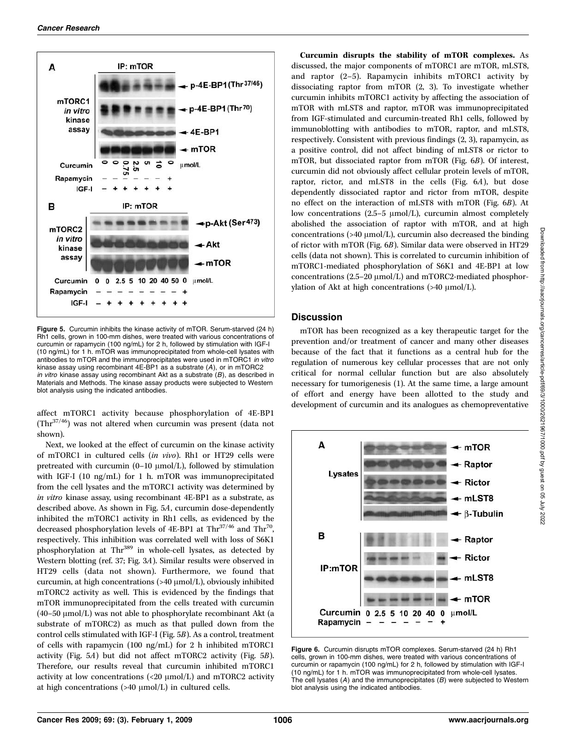

Figure 5. Curcumin inhibits the kinase activity of mTOR. Serum-starved (24 h) Rh1 cells, grown in 100-mm dishes, were treated with various concentrations of curcumin or rapamycin (100 ng/mL) for 2 h, followed by stimulation with IGF-I (10ng/mL) for 1 h. mTOR was immunoprecipitated from whole-cell lysates with antibodies to mTOR and the immunoprecipitates were used in mTORC1 in vitro kinase assay using recombinant 4E-BP1 as a substrate (A), or in mTORC2 in vitro kinase assay using recombinant Akt as a substrate  $(B)$ , as described in Materials and Methods. The kinase assay products were subjected to Western blot analysis using the indicated antibodies.

affect mTORC1 activity because phosphorylation of 4E-BP1  $(Thr<sup>37/46</sup>)$  was not altered when curcumin was present (data not shown).

Next, we looked at the effect of curcumin on the kinase activity of mTORC1 in cultured cells (in vivo). Rh1 or HT29 cells were pretreated with curcumin  $(0-10 \mu \text{mol/L})$ , followed by stimulation with IGF-I (10 ng/mL) for 1 h. mTOR was immunoprecipitated from the cell lysates and the mTORC1 activity was determined by in vitro kinase assay, using recombinant 4E-BP1 as a substrate, as described above. As shown in Fig. 5A, curcumin dose-dependently inhibited the mTORC1 activity in Rh1 cells, as evidenced by the decreased phosphorylation levels of 4E-BP1 at  $Thr<sup>37/46</sup>$  and  $Thr<sup>70</sup>$ , respectively. This inhibition was correlated well with loss of S6K1 phosphorylation at Thr<sup>389</sup> in whole-cell lysates, as detected by Western blotting (ref. 37; Fig. 3A). Similar results were observed in HT29 cells (data not shown). Furthermore, we found that curcumin, at high concentrations  $(>40 \mu \text{mol/L})$ , obviously inhibited mTORC2 activity as well. This is evidenced by the findings that mTOR immunoprecipitated from the cells treated with curcumin (40–50  $\mu$ mol/L) was not able to phosphorylate recombinant Akt (a substrate of mTORC2) as much as that pulled down from the control cells stimulated with IGF-I (Fig. 5B). As a control, treatment of cells with rapamycin (100 ng/mL) for 2 h inhibited mTORC1 activity (Fig. 5A) but did not affect mTORC2 activity (Fig. 5B). Therefore, our results reveal that curcumin inhibited mTORC1 activity at low concentrations  $\left( \langle 20 \mu \text{mol/L} \rangle \right)$  and mTORC2 activity at high concentrations  $($ >40  $\mu$ mol/L) in cultured cells.

Curcumin disrupts the stability of mTOR complexes. As discussed, the major components of mTORC1 are mTOR, mLST8, and raptor (2–5). Rapamycin inhibits mTORC1 activity by dissociating raptor from mTOR (2, 3). To investigate whether curcumin inhibits mTORC1 activity by affecting the association of mTOR with mLST8 and raptor, mTOR was immunoprecipitated from IGF-stimulated and curcumin-treated Rh1 cells, followed by immunoblotting with antibodies to mTOR, raptor, and mLST8, respectively. Consistent with previous findings (2, 3), rapamycin, as a positive control, did not affect binding of mLST8 or rictor to mTOR, but dissociated raptor from mTOR (Fig. 6B). Of interest, curcumin did not obviously affect cellular protein levels of mTOR, raptor, rictor, and mLST8 in the cells (Fig. 6A), but dose dependently dissociated raptor and rictor from mTOR, despite no effect on the interaction of mLST8 with mTOR (Fig. 6B). At low concentrations (2.5–5  $\mu$ mol/L), curcumin almost completely abolished the association of raptor with mTOR, and at high concentrations (>40  $\mu$ mol/L), curcumin also decreased the binding of rictor with mTOR (Fig. 6B). Similar data were observed in HT29 cells (data not shown). This is correlated to curcumin inhibition of mTORC1-mediated phosphorylation of S6K1 and 4E-BP1 at low concentrations  $(2.5-20 \mu \text{mol/L})$  and mTORC2-mediated phosphorylation of Akt at high concentrations  $($ >40  $\mu$ mol/L).

## **Discussion**

mTOR has been recognized as a key therapeutic target for the prevention and/or treatment of cancer and many other diseases because of the fact that it functions as a central hub for the regulation of numerous key cellular processes that are not only critical for normal cellular function but are also absolutely necessary for tumorigenesis (1). At the same time, a large amount of effort and energy have been allotted to the study and development of curcumin and its analogues as chemopreventative



Figure 6. Curcumin disrupts mTOR complexes. Serum-starved (24 h) Rh1 cells, grown in 100-mm dishes, were treated with various concentrations of curcumin or rapamycin (100 ng/mL) for 2 h, followed by stimulation with IGF-I (10 ng/mL) for 1 h. mTOR was immunoprecipitated from whole-cell lysates. The cell lysates  $(A)$  and the immunoprecipitates  $(B)$  were subjected to Western blot analysis using the indicated antibodies.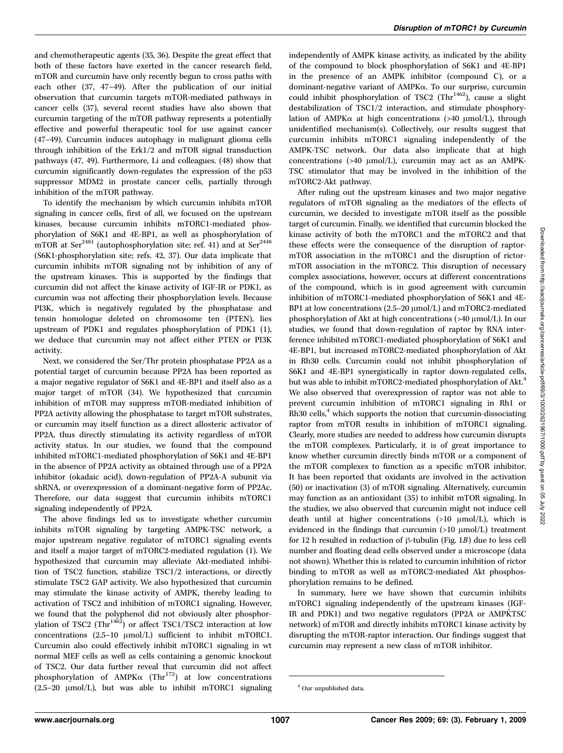and chemotherapeutic agents (35, 36). Despite the great effect that both of these factors have exerted in the cancer research field, mTOR and curcumin have only recently begun to cross paths with each other (37, 47–49). After the publication of our initial observation that curcumin targets mTOR-mediated pathways in cancer cells (37), several recent studies have also shown that curcumin targeting of the mTOR pathway represents a potentially effective and powerful therapeutic tool for use against cancer (47–49). Curcumin induces autophagy in malignant glioma cells through inhibition of the Erk1/2 and mTOR signal transduction pathways (47, 49). Furthermore, Li and colleagues. (48) show that curcumin significantly down-regulates the expression of the p53 suppressor MDM2 in prostate cancer cells, partially through inhibition of the mTOR pathway.

To identify the mechanism by which curcumin inhibits mTOR signaling in cancer cells, first of all, we focused on the upstream kinases, because curcumin inhibits mTORC1-mediated phosphorylation of S6K1 and 4E-BP1, as well as phosphorylation of mTOR at Ser<sup>2481</sup> (autophosphorylation site; ref. 41) and at Ser<sup>2448</sup> (S6K1-phosphorylation site; refs. 42, 37). Our data implicate that curcumin inhibits mTOR signaling not by inhibition of any of the upstream kinases. This is supported by the findings that curcumin did not affect the kinase activity of IGF-IR or PDK1, as curcumin was not affecting their phosphorylation levels. Because PI3K, which is negatively regulated by the phosphatase and tensin homologue deleted on chromosome ten (PTEN), lies upstream of PDK1 and regulates phosphorylation of PDK1 (1), we deduce that curcumin may not affect either PTEN or PI3K activity.

Next, we considered the Ser/Thr protein phosphatase PP2A as a potential target of curcumin because PP2A has been reported as a major negative regulator of S6K1 and 4E-BP1 and itself also as a major target of mTOR (34). We hypothesized that curcumin inhibition of mTOR may suppress mTOR-mediated inhibition of PP2A activity allowing the phosphatase to target mTOR substrates, or curcumin may itself function as a direct allosteric activator of PP2A, thus directly stimulating its activity regardless of mTOR activity status. In our studies, we found that the compound inhibited mTORC1-mediated phosphorylation of S6K1 and 4E-BP1 in the absence of PP2A activity as obtained through use of a PP2A inhibitor (okadaic acid), down-regulation of PP2A-A subunit via shRNA, or overexpression of a dominant-negative form of PP2Ac. Therefore, our data suggest that curcumin inhibits mTORC1 signaling independently of PP2A.

The above findings led us to investigate whether curcumin inhibits mTOR signaling by targeting AMPK-TSC network, a major upstream negative regulator of mTORC1 signaling events and itself a major target of mTORC2-mediated regulation (1). We hypothesized that curcumin may alleviate Akt-mediated inhibition of TSC2 function, stabilize TSC1/2 interactions, or directly stimulate TSC2 GAP activity. We also hypothesized that curcumin may stimulate the kinase activity of AMPK, thereby leading to activation of TSC2 and inhibition of mTORC1 signaling. However, we found that the polyphenol did not obviously alter phosphorvlation of TSC2 (Thr<sup>1462</sup>) or affect TSC1/TSC2 interaction at low concentrations  $(2.5-10 \mu mol/L)$  sufficient to inhibit mTORC1. Curcumin also could effectively inhibit mTORC1 signaling in wt normal MEF cells as well as cells containing a genomic knockout of TSC2. Our data further reveal that curcumin did not affect phosphorylation of AMPK $\alpha$  (Thr<sup>172</sup>) at low concentrations  $(2.5-20 \mu \text{mol/L})$ , but was able to inhibit mTORC1 signaling independently of AMPK kinase activity, as indicated by the ability of the compound to block phosphorylation of S6K1 and 4E-BP1 in the presence of an AMPK inhibitor (compound C), or a dominant-negative variant of AMPKa. To our surprise, curcumin could inhibit phosphorylation of TSC2 (Thr<sup>1462</sup>), cause a slight destabilization of TSC1/2 interaction, and stimulate phosphorylation of AMPK $\alpha$  at high concentrations (>40  $\mu$ mol/L), through unidentified mechanism(s). Collectively, our results suggest that curcumin inhibits mTORC1 signaling independently of the AMPK-TSC network. Our data also implicate that at high concentrations  $(>40 \text{µmol/L})$ , curcumin may act as an AMPK-TSC stimulator that may be involved in the inhibition of the mTORC2-Akt pathway.

After ruling out the upstream kinases and two major negative regulators of mTOR signaling as the mediators of the effects of curcumin, we decided to investigate mTOR itself as the possible target of curcumin. Finally, we identified that curcumin blocked the kinase activity of both the mTORC1 and the mTORC2 and that these effects were the consequence of the disruption of raptormTOR association in the mTORC1 and the disruption of rictormTOR association in the mTORC2. This disruption of necessary complex associations, however, occurs at different concentrations of the compound, which is in good agreement with curcumin inhibition of mTORC1-mediated phosphorylation of S6K1 and 4E-BP1 at low concentrations  $(2.5-20 \mu \text{mol/L})$  and mTORC2-mediated phosphorylation of Akt at high concentrations (>40  $\mu$ mol/L). In our studies, we found that down-regulation of raptor by RNA interference inhibited mTORC1-mediated phosphorylation of S6K1 and 4E-BP1, but increased mTORC2-mediated phosphorylation of Akt in Rh30 cells. Curcumin could not inhibit phosphorylation of S6K1 and 4E-BP1 synergistically in raptor down-regulated cells, but was able to inhibit mTORC2-mediated phosphorylation of Akt.<sup>4</sup> We also observed that overexpression of raptor was not able to prevent curcumin inhibition of mTORC1 signaling in Rh1 or  $Rh30$  cells,<sup>4</sup> which supports the notion that curcumin-dissociating raptor from mTOR results in inhibition of mTORC1 signaling. Clearly, more studies are needed to address how curcumin disrupts the mTOR complexes. Particularly, it is of great importance to know whether curcumin directly binds mTOR or a component of the mTOR complexes to function as a specific mTOR inhibitor. It has been reported that oxidants are involved in the activation (50) or inactivation (3) of mTOR signaling. Alternatively, curcumin may function as an antioxidant (35) to inhibit mTOR signaling. In the studies, we also observed that curcumin might not induce cell death until at higher concentrations  $(>10 \mu mol/L)$ , which is evidenced in the findings that curcumin  $(>10 \mu mol/L)$  treatment for 12 h resulted in reduction of  $\beta$ -tubulin (Fig. 1B) due to less cell number and floating dead cells observed under a microscope (data not shown). Whether this is related to curcumin inhibition of rictor binding to mTOR as well as mTORC2-mediated Akt phosphosphorylation remains to be defined.

In summary, here we have shown that curcumin inhibits mTORC1 signaling independently of the upstream kinases (IGF-IR and PDK1) and two negative regulators (PP2A or AMPK˜TSC network) of mTOR and directly inhibits mTORC1 kinase activity by disrupting the mTOR-raptor interaction. Our findings suggest that curcumin may represent a new class of mTOR inhibitor.

<sup>4</sup> Our unpublished data.